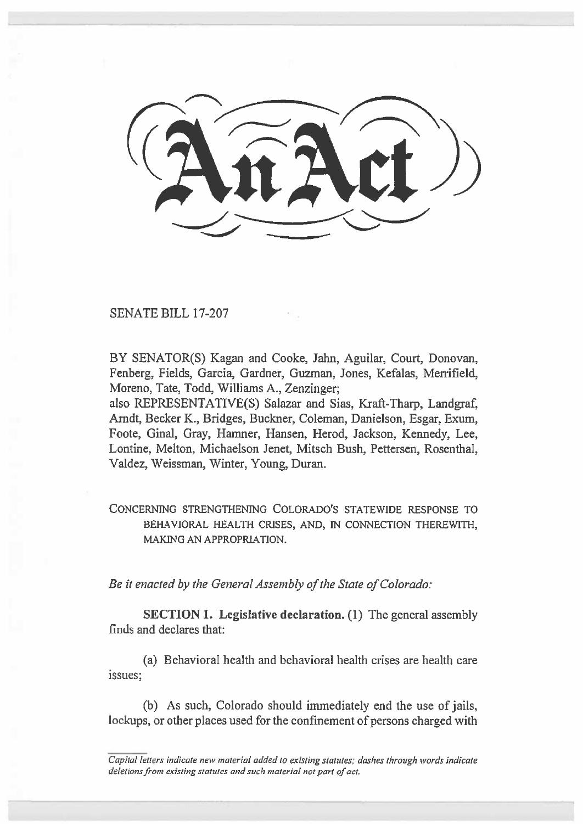SENATE BILL 17-207

BY SENATOR(S) Kagan and Cooke, Jahn, Aguilar, Court, Donovan, Fenberg, Fields, Garcia, Gardner, Guzman, Jones, Kefalas, Merrifield, Moreno, Tate, Todd, Williams A., Zenzinger;

also REPRESENTATIVE(S) Salazar and Sias, Kraft-Tharp, Landgraf, Arndt, Becker K., Bridges, Buckner, Coleman, Danielson, Esgar, Exum, Foote, Ginal, Gray, Hamner, Hansen, Herod, Jackson, Kennedy, Lee, Lontine, Melton, Michaelson Jenet, Mitsch Bush, Pettersen, Rosenthal, Valdez, Weissman, Winter, Young, Duran.

CONCERNING STRENGTHENING COLORADO'S STATEWIDE RESPONSE TO BEHAVIORAL HEALTH CRISES, AND, IN CONNECTION THEREWITH, MAKING AN APPROPRIATION.

*Be it enacted by the General Assembly of the State of Colorado:* 

**SECTION I. Legislative declaration. (1)** The general assembly finds and declares that:

(a) Behavioral health and behavioral health crises are health care issues;

(b) As such, Colorado should immediately end the use of jails, lockups, or other places used for the confinement of persons charged with

Capital letters indicate new material added to existing statutes; dashes through words indicate deletions from existing statutes and such material not part of act.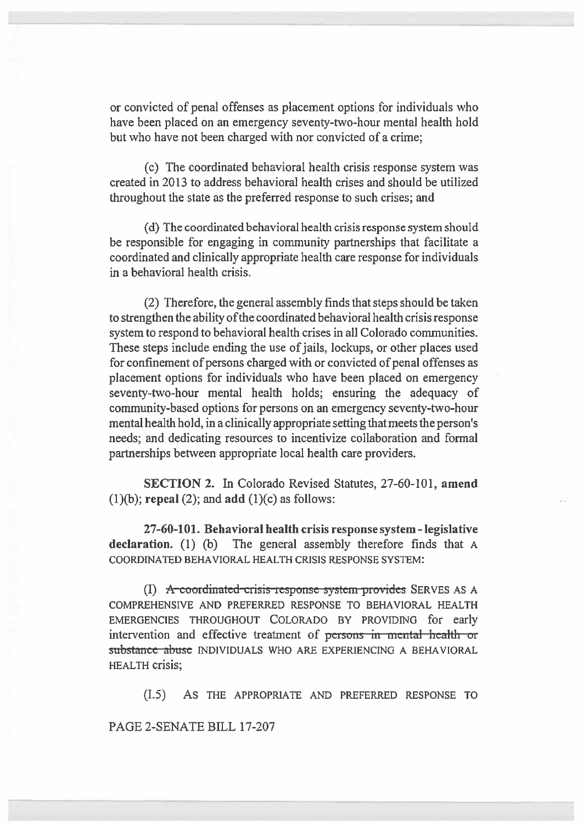or convicted of penal offenses as placement options for individuals who have been placed on an emergency seventy-two-hour mental health hold but who have not been charged with nor convicted of a crime;

(c) The coordinated behavioral health crisis response system was created in 2013 to address behavioral health crises and should be utilized throughout the state as the preferred response to such crises; and

(d) The coordinated behavioral health crisis response system should be responsible for engaging in community partnerships that facilitate a coordinated and clinically appropriate health care response for individuals in a behavioral health crisis.

(2) Therefore, the general assembly finds that steps should be taken to strengthen the ability ofthe coordinated behavioral health crisis response system to respond to behavioral health crises in all Colorado communities. These steps include ending the use of jails, lockups, or other places used for confinement of persons charged with or convicted of penal offenses as placement options for individuals who have been placed on emergency seventy-two-hour mental health holds; ensuring the adequacy of community-based options for persons on an emergency seventy-two-hour mental health hold, in a clinically appropriate setting that meets the person's needs; and dedicating resources to incentivize collaboration and formal partnerships between appropriate local health care providers.

**SECTION 2.** In Colorado Revised Statutes, **27-60-101, amend (1)(b); repeal** (2); and **add** (1)(c) as follows:

**27-60-101. Behavioral health crisis response system - legislative declaration. (1)** (b) The general assembly therefore finds that A COORDINATED BEHAVIORAL HEALTH CRISIS RESPONSE SYSTEM:

**(I)** A—tormiiirated-crisis-response-systenr **provides** SERVES AS A COMPREHENSIVE AND PREFERRED RESPONSE TO BEHAVIORAL HEALTH EMERGENCIES THROUGHOUT COLORADO BY PROVIDING for early intervention and effective treatment of persons in mental health or substance abuse INDIVIDUALS WHO ARE EXPERIENCING A BEHAVIORAL HEALTH crisis;

(I.5) As THE APPROPRIATE AND PREFERRED RESPONSE TO

PAGE 2-SENATE **BILL** 17-207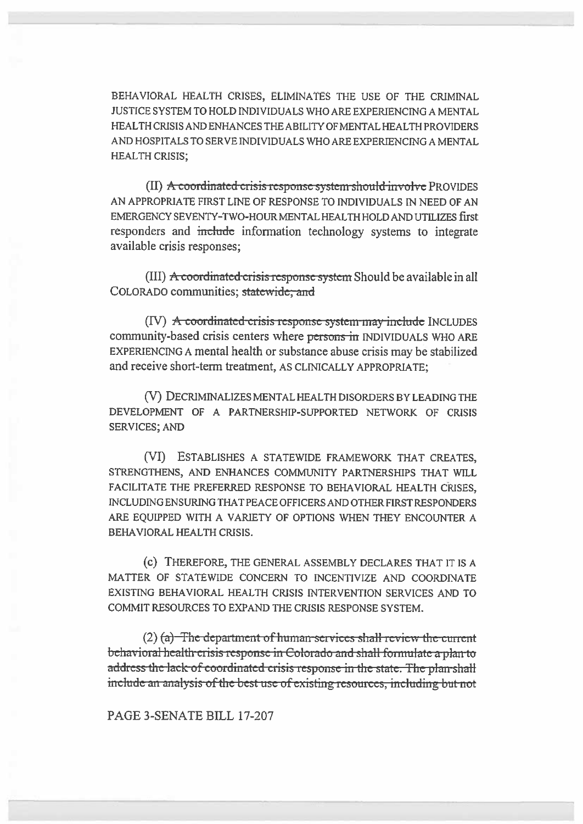BEHAVIORAL HEALTH CRISES, ELIMINATES THE USE OF THE CRIMINAL JUSTICE SYSTEM TO HOLD INDIVIDUALS WHO ARE EXPERIENCING A MENTAL HEALTH CRISIS AND ENHANCES THE ABILITY OF MENTAL HEALTH PROVIDERS AND HOSPITALS TO SERVE INDIVIDUALS WHO ARE EXPERIENCING A MENTAL **HEALTH CRISIS:** 

(II) A coordinated crisis response system should involve PROVIDES AN APPROPRIATE FIRST LINE OF RESPONSE TO INDIVIDUALS IN NEED OF AN EMERGENCY SEVENTY-TWO-HOUR MENTAL HEALTH HOLD AND UTILIZES first responders and include information technology systems to integrate available crisis responses;

(III) A coordinated crisis response system Should be available in all COLORADO communities; statewide; and

(IV) A coordinated crisis response system may include INCLUDES community-based crisis centers where persons in INDIVIDUALS WHO ARE EXPERIENCING A mental health or substance abuse crisis may be stabilized and receive short-term treatment, AS CLINICALLY APPROPRIATE;

(V) DECRIMINALIZES MENTAL HEALTH DISORDERS BY LEADING THE DEVELOPMENT OF A PARTNERSHIP-SUPPORTED NETWORK OF CRISIS **SERVICES: AND** 

(VI) ESTABLISHES A STATEWIDE FRAMEWORK THAT CREATES, STRENGTHENS, AND ENHANCES COMMUNITY PARTNERSHIPS THAT WILL FACILITATE THE PREFERRED RESPONSE TO BEHAVIORAL HEALTH CRISES. INCLUDING ENSURING THAT PEACE OFFICERS AND OTHER FIRST RESPONDERS ARE EQUIPPED WITH A VARIETY OF OPTIONS WHEN THEY ENCOUNTER A **BEHAVIORAL HEALTH CRISIS.** 

(c) THEREFORE, THE GENERAL ASSEMBLY DECLARES THAT IT IS A MATTER OF STATEWIDE CONCERN TO INCENTIVIZE AND COORDINATE EXISTING BEHAVIORAL HEALTH CRISIS INTERVENTION SERVICES AND TO COMMIT RESOURCES TO EXPAND THE CRISIS RESPONSE SYSTEM.

 $(2)$  (a) The department of human-services shall review the current behavioral health crisis response in Colorado and shall formulate a plan to address the lack of coordinated crisis response in the state. The plan-shall include an analysis of the best use of existing resources, including but not

PAGE 3-SENATE BILL 17-207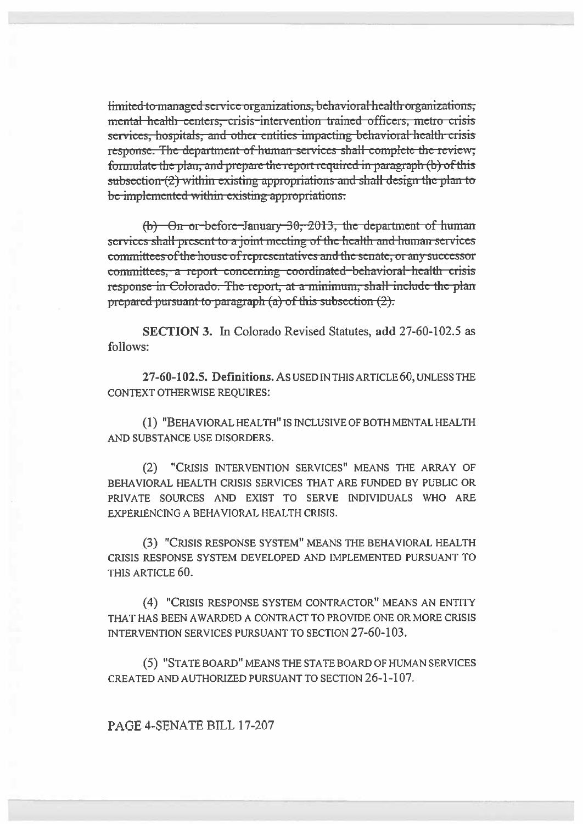limited to managed service organizations, behavioral health organizations; mental health centers, crisis intervention trained officers, metro crisis services, hospitals, and other entities impacting behavioral health crisis response. The department of human services shall complete the review; formulate the plan, and prepare the report required in paragraph (b) of this subsection  $(2)$  within existing appropriations and shall design the plan to be implemented within existing appropriations.

(b) On or before January 30, 2013, the department of human services shall present to a joint meeting of the health and human services committees of the house of representatives and the senate, or any successor committees, a report concerning coordinated behavioral health crisis response in Colorado. The report, at a minimum, shall include the plan prepared pursuant to paragraph (a) of this subsection (2).

SECTION 3. In Colorado Revised Statutes, add 27-60-102.5 as follows:

27-60-102.5. Definitions. AS USED IN THIS ARTICLE 60, UNLESS THE **CONTEXT OTHERWISE REOUIRES:** 

(1) "BEHAVIORAL HEALTH" IS INCLUSIVE OF BOTH MENTAL HEALTH AND SUBSTANCE USE DISORDERS.

(2) "CRISIS INTERVENTION SERVICES" MEANS THE ARRAY OF BEHAVIORAL HEALTH CRISIS SERVICES THAT ARE FUNDED BY PUBLIC OR PRIVATE SOURCES AND EXIST TO SERVE INDIVIDUALS WHO ARE EXPERIENCING A BEHAVIORAL HEALTH CRISIS.

(3) "CRISIS RESPONSE SYSTEM" MEANS THE BEHAVIORAL HEALTH CRISIS RESPONSE SYSTEM DEVELOPED AND IMPLEMENTED PURSUANT TO THIS ARTICLE 60.

(4) "CRISIS RESPONSE SYSTEM CONTRACTOR" MEANS AN ENTITY THAT HAS BEEN AWARDED A CONTRACT TO PROVIDE ONE OR MORE CRISIS INTERVENTION SERVICES PURSUANT TO SECTION 27-60-103.

(5) "STATE BOARD" MEANS THE STATE BOARD OF HUMAN SERVICES CREATED AND AUTHORIZED PURSUANT TO SECTION 26-1-107.

PAGE 4-SENATE BILL 17-207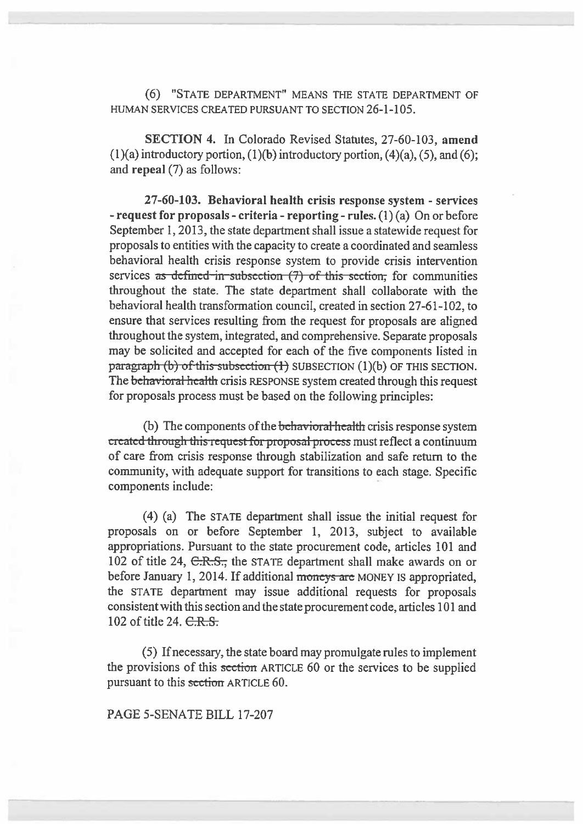(6) "STATE DEPARTMENT" MEANS THE STATE DEPARTMENT OF HUMAN SERVICES CREATED PURSUANT TO SECTION 26-1-105.

SECTION 4. In Colorado Revised Statutes, 27-60-103, amend (1)(a) introductory portion, (1)(b) introductory portion, (4)(a), (5), and (6); and repeal (7) as follows:

27-60-103. **Behavioral health crisis response system - services - request for proposals - criteria - reporting - rules.** (1) (a) On or before September 1, 2013, the state department shall issue a statewide request for proposals to entities with the capacity to create a coordinated and seamless behavioral health crisis response system to provide crisis intervention services as defined-in-subsection (7) of this section; for communities **throughout** the state. The state department shall collaborate with the behavioral health transformation council, created in section 27-61-102, to ensure that services resulting from the request for proposals are aligned throughout the system, integrated, and comprehensive. Separate proposals may be solicited and accepted for each of the five components listed in paragraph  $(b)$  of this subsection  $(1)$  SUBSECTION  $(1)(b)$  OF THIS SECTION. The behavioral health crisis RESPONSE system created through this request for proposals process must be based on the following principles:

(b) The components of the behavioral health crisis response system created through this-request-for-proposal process must reflect a continuum of care from crisis response through stabilization and safe return to the community, with adequate support for transitions to each stage. Specific components include:

(4) (a) The STATE department shall issue the initial request for proposals on or before September 1, 2013, subject to available appropriations. Pursuant to the state procurement code, articles 101 and 102 of title 24, C.R.S., the STATE department shall make awards on or before January 1, 2014. If additional moneys are MONEY IS appropriated, the STATE department may issue additional requests for proposals consistent with this section and the state procurement code, articles 101 and 102 of title 24.  $C.R.S.$ 

(5) If necessary, the state board may promulgate rules to implement the provisions of this section ARTICLE 60 or the services to be supplied pursuant to this section ARTICLE 60.

PAGE 5-SENATE BILL 17-207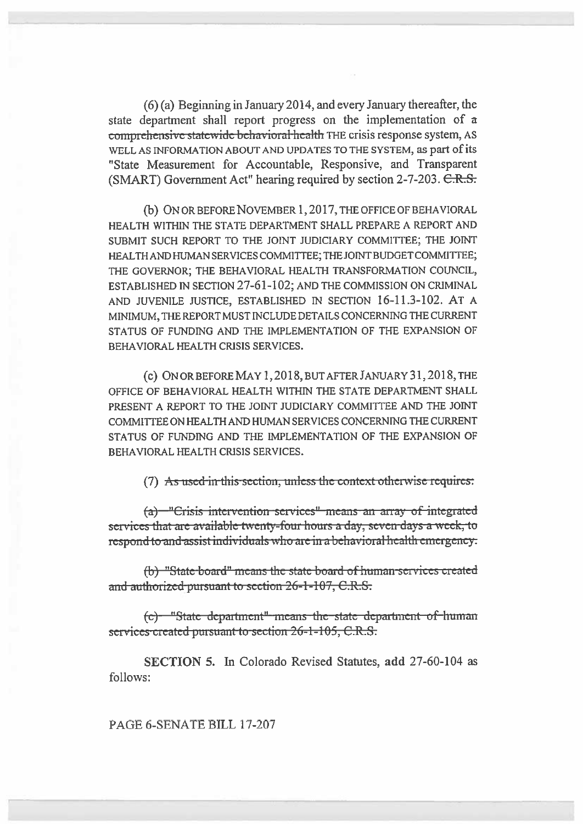(6) (a) Beginning in January 2014, and every January thereafter, the state department shall report progress on the implementation of a comprehensive statewide behavioral health THE crisis response system, AS WELL AS INFORMATION ABOUT AND UPDATES TO THE SYSTEM, as part of its "State Measurement for Accountable, Responsive, and Transparent (SMART) Government Act" hearing required by section 2-7-203. C.R.S.

(b) ON OR BEFORE NOVEMBER 1, 2017, THE OFFICE OF BEHAVIORAL HEALTH WITHIN THE STATE DEPARTMENT SHALL PREPARE A REPORT AND SUBMIT SUCH REPORT TO THE JOINT JUDICIARY COMMITTEE; THE JOINT HEALTH AND HUMAN SERVICES CONIMITTEE, THE JOINT BUDGET COMMITTEE; THE GOVERNOR; THE BEHAVIORAL HEALTH TRANSFORMATION COUNCIL, ESTABLISHED IN SECTION 27-61-102; AND THE COMMISSION ON CRIMINAL AND JUVENILE JUSTICE, ESTABLISHED IN SECTION 16-11.3-102. AT A MINIMUM, THE REPORT MUST INCLUDE DETAILS CONCERNING THE CURRENT STATUS OF FUNDING AND THE IMPLEMENTATION OF THE EXPANSION OF BEHAVIORAL HEALTH CRISIS SERVICES.

**(c) ON** OR BEFORE MAY 1, 2018, BUT AFTER JANUARY 31, 2018, THE OFFICE OF BEHAVIORAL HEALTH WITHIN THE STATE DEPARTMENT SHALL PRESENT A REPORT TO THE JOINT JUDICIARY COMMITTEE AND THE JOINT COMMITTEE ON HEALTH AND HUMAN SERVICES CONCERNING THE CURRENT STATUS OF FUNDING AND THE IMPLEMENTATION OF THE EXPANSION OF BEHAVIORAL HEALTH CRISIS SERVICES.

 $(7)$  As used-in-this-section, unless the context otherwise requires:

 $(a)$  "Crisis intervention services" means an array of integrated services that are available twenty-four hours a day, seven days a week, to respond to and assist individuals who are in a behavioral health emergency.

(b) "State-board" means the state board of human-services created and authorized pursuant to section 26-1-107, C.R.S.

(c)- "State department" means the state department of human ervices-created pursuant to-section

SECTION 5. In Colorado Revised Statutes, add 27-60-104 as follows:

PAGE 6-SENATE BILL 17-207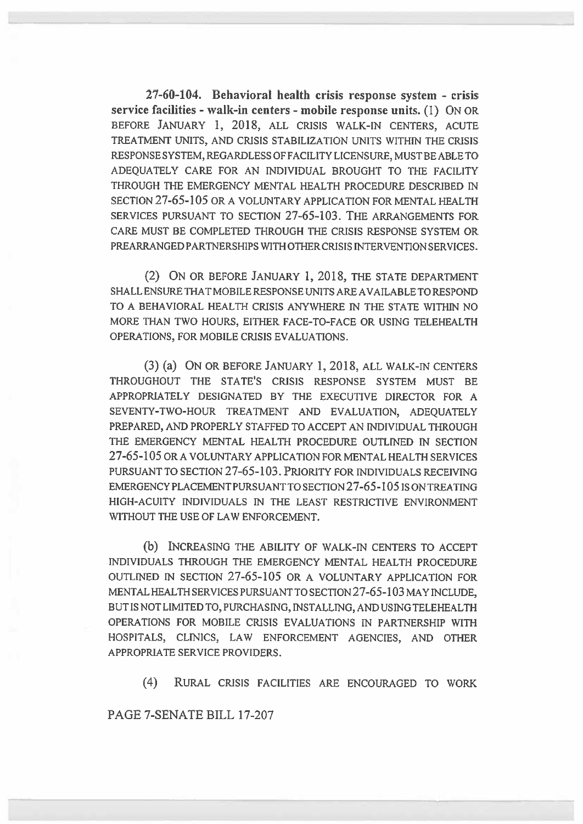27-60-104. Behavioral health crisis response system - crisis service facilities - walk-in centers - mobile response units. (1) ON OR BEFORE JANUARY 1, 2018, ALL CRISIS WALK-IN CENTERS, ACUTE TREATMENT UNITS, AND CRISIS STABILIZATION UNITS WITHIN THE CRISIS RESPONSE SYSTEM, REGARDLESS OF FACILITY LICENSURE, MUST BE ABLE TO ADEQUATELY CARE FOR AN INDIVIDUAL BROUGHT TO THE FACILITY THROUGH THE EMERGENCY MENTAL HEALTH PROCEDURE DESCRIBED IN SECTION 27-65-105 OR A VOLUNTARY APPLICATION FOR MENTAL HEALTH SERVICES PURSUANT TO SECTION 27-65-103. THE ARRANGEMENTS FOR CARE MUST BE COMPLETED THROUGH THE CRISIS RESPONSE SYSTEM OR PREARRANGED PARTNERSHIPS WITH OTHER CRISIS INTERVENTION SERVICES.

**(2) ON** OR BEFORE JANUARY 1, 2018, THE STATE DEPARTMENT SHALL ENSURE THAT MOBILE RESPONSE UNITS ARE AVAILABLE TO RESPOND TO A BEHAVIORAL HEALTH CRISIS ANYWHERE IN THE STATE WITHIN NO MORE THAN TWO HOURS, EITHER FACE-TO-FACE OR USING TELEHEALTH OPERATIONS, FOR MOBILE CRISIS EVALUATIONS.

(3) (a) **ON** OR BEFORE JANUARY 1, 2018, ALL WALK-IN CENTERS THROUGHOUT THE STATE'S CRISIS RESPONSE SYSTEM MUST BE APPROPRIATELY DESIGNATED BY **THE** EXECUTIVE DIRECTOR FOR A SEVENTY-TWO-HOUR TREATMENT AND EVALUATION, ADEQUATELY PREPARED, AND PROPERLY STAFFED TO ACCEPT AN INDIVIDUAL THROUGH THE EMERGENCY MENTAL HEALTH PROCEDURE OUTLINED IN SECTION 27-65-105 OR A VOLUNTARY APPLICATION FOR MENTAL HEALTH SERVICES PURSUANT TO SECTION 27-65-103. PRIORITY FOR INDIVIDUALS RECEIVING EMERGENCY PLACEMENT PURSUANT TO SECTION 27-65-105 IS ON TREATING HIGH-ACUITY INDIVIDUALS **IN** THE LEAST RESTRICTIVE ENVIRONMENT WITHOUT THE **USE** OF LAW ENFORCEMENT.

(b) INCREASING THE ABILITY OF WALK-IN CENTERS TO ACCEPT INDIVIDUALS THROUGH THE EMERGENCY MENTAL HEALTH PROCEDURE OUTLINED IN SECTION 27-65-105 OR A VOLUNTARY APPLICATION FOR MENTAL HEALTH SERVICES PURSUANT TO SECTION 27-65-103 MAY INCLUDE, BUT IS NOT LIMITED TO, PURCHASING, INSTALLING, AND USING TELEHEALTH OPERATIONS FOR MOBILE CRISIS EVALUATIONS IN PARTNERSHIP WITH HOSPITALS, CLINICS, LAW ENFORCEMENT AGENCIES, AND OTHER APPROPRIATE SERVICE PROVIDERS.

(4) RURAL CRISIS FACILITIES ARE ENCOURAGED TO WORK

PAGE 7-SENATE BILL 17-207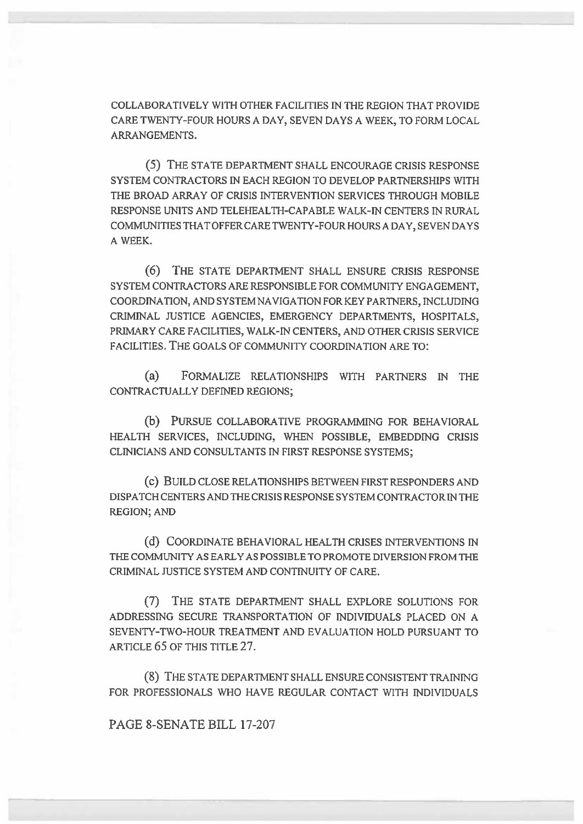COLLABORATIVELY WITH OTHER FACILITIES IN THE REGION THAT PROVIDE CARE TWENTY-FOUR HOURS A DAY, SEVEN DAYS A WEEK, TO FORM LOCAL ARRANGEMENTS.

(5) THE STATE DEPARTMENT SHALL ENCOURAGE CRISIS RESPONSE SYSTEM CONTRACTORS IN EACH REGION TO DEVELOP PARTNERSHIPS WITH THE BROAD ARRAY OF CRISIS INTERVENTION SERVICES THROUGH MOBILE RESPONSE UNITS AND TELEHEALTH-CAPABLE WALK-IN CENTERS IN RURAL COMMUNITIES THAT OFFER CARE TWENTY-FOUR HOURS A DAY, SEVEN DAYS A WEEK.

(6) THE STATE DEPARTMENT SHALL ENSURE CRISIS RESPONSE SYSTEM CONTRACTORS ARE RESPONSIBLE FOR COMMUNITY ENGAGEMENT, COORDINATION, AND SYSTEM NAVIGATION FOR KEY PARTNERS, INCLUDING CRIMINAL JUSTICE AGENCIES, EMERGENCY DEPARTMENTS, HOSPITALS, PRIMARY CARE FACILITIES, WALK-IN CENTERS, AND OTHER CRISIS SERVICE FACILITIES. THE GOALS OF COMMUNITY COORDINATION ARE TO:

(a) FORMALIZE RELATIONSHIPS WITH PARTNERS IN THE CONTRACTUALLY DEFINED REGIONS;

(b) PURSUE COLLABORATIVE PROGRAMMING FOR BEHAVIORAL HEALTH SERVICES, INCLUDING, WHEN POSSIBLE, EMBEDDING CRISIS CLINICIANS AND CONSULTANTS IN FIRST RESPONSE SYSTEMS;

(c) BUILD CLOSE RELATIONSHIPS BETWEEN FIRST RESPONDERS AND DISPATCH CENTERS AND THE CRISIS RESPONSE SYSTEM CONTRACTOR IN THE REGION; AND

(d) COORDINATE BEHAVIORAL HEALTH CRISES INTERVENTIONS IN THE COMMUNITY AS EARLY AS POSSIBLE TO PROMOTE DIVERSION FROM THE CRIMINAL JUSTICE SYSTEM AND CONTINUITY OF CARE.

(7) THE STATE DEPARTMENT SHALL EXPLORE SOLUTIONS FOR ADDRESSING SECURE TRANSPORTATION OF INDIVIDUALS PLACED ON A SEVENTY-TWO-HOUR TREATMENT AND EVALUATION HOLD PURSUANT TO ARTICLE 65 OF THIS TITLE 27.

(8) THE STATE DEPARTMENT SHALL ENSURE CONSISTENT TRAINING FOR PROFESSIONALS WHO HAVE REGULAR CONTACT WITH INDIVIDUALS

PAGE 8-SENATE BILL 17-207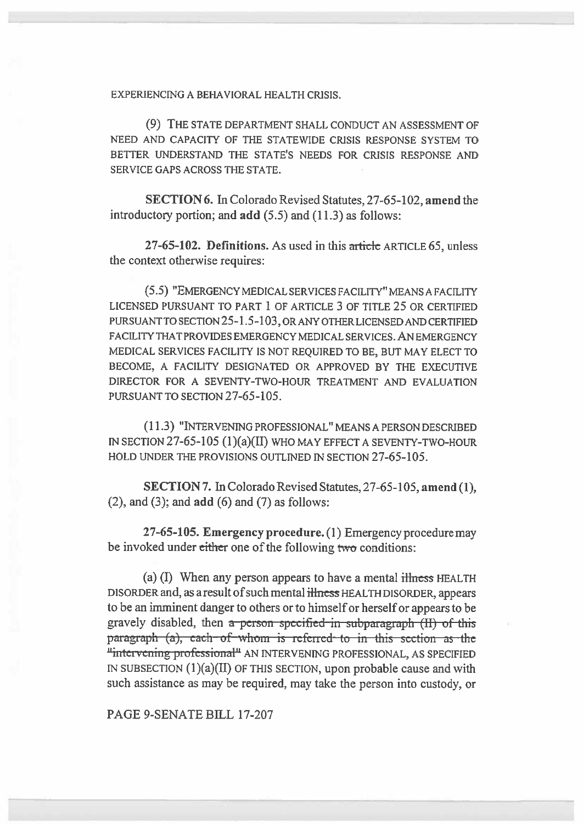EXPERIENCING A BEHAVIORAL HEALTH CRISIS.

(9) THE STATE DEPARTMENT SHALL CONDUCT AN ASSESSMENT OF NEED AND CAPACITY OF THE STATEWIDE CRISIS RESPONSE SYSTEM TO BETTER UNDERSTAND THE STATE'S NEEDS FOR CRISIS RESPONSE AND SERVICE GAPS ACROSS THE STATE.

SECTION 6. In Colorado Revised Statutes, 27-65-102, amend the introductory portion; and add (5.5) and (11.3) as follows:

27-65-102. Definitions. As used in this article ARTICLE 65, unless the context otherwise requires:

(5.5) "EMERGENCY MEDICAL SERVICES FACILITY" MEANS A FACILITY LICENSED PURSUANT TO PART I OF ARTICLE 3 OF TITLE 25 OR CERTIFIED PURSUANT TO SECTION 25-1.5-103, OR ANY OTHER LICENSED AND CERTIFIED FACILITY THAT PROVIDES EMERGENCY MEDICAL SERVICES. ANEMERGENCY MEDICAL SERVICES FACILITY IS NOT REQUIRED TO BE, BUT MAY ELECT TO BECOME, A FACILITY DESIGNATED OR APPROVED BY THE EXECUTIVE DIRECTOR FOR A SEVENTY-TWO-HOUR TREATMENT AND EVALUATION PURSUANT TO SECTION 27-65-105.

(11.3) "INTERVENING PROFESSIONAL" MEANS A PERSON DESCRIBED IN SECTION 27-65-105 (1)(a)(II) WHO MAY EFFECT A SEVENTY-TWO-HOUR HOLD UNDER THE PROVISIONS OUTLINED IN SECTION 27-65-105.

SECTION 7. In Colorado Revised Statutes, 27-65-105, **amend** (1),  $(2)$ , and  $(3)$ ; and  $add (6)$  and  $(7)$  as follows:

27-65-105. Emergency **procedure. (1)** Emergency procedure may **be** invoked under either one of the following two conditions:

(a) (I) When any person appears to have a mental  $\frac{1}{100}$  Health DISORDER and, as a result of such mental illness HEALTH DISORDER, appears to be an imminent danger to others or to himself or herself or appears to be gravely disabled, then a person specified in subparagraph (II) of this paragraph (a), each of whom is referred to in this section as the "intervening professional" AN INTERVENING PROFESSIONAL, AS SPECIFIED IN SUBSECTION (1)(a)(II) OF THIS SECTION, upon probable cause and with such assistance as may be required, may take the person into custody, or

PAGE 9-SENATE **BILL** 17-207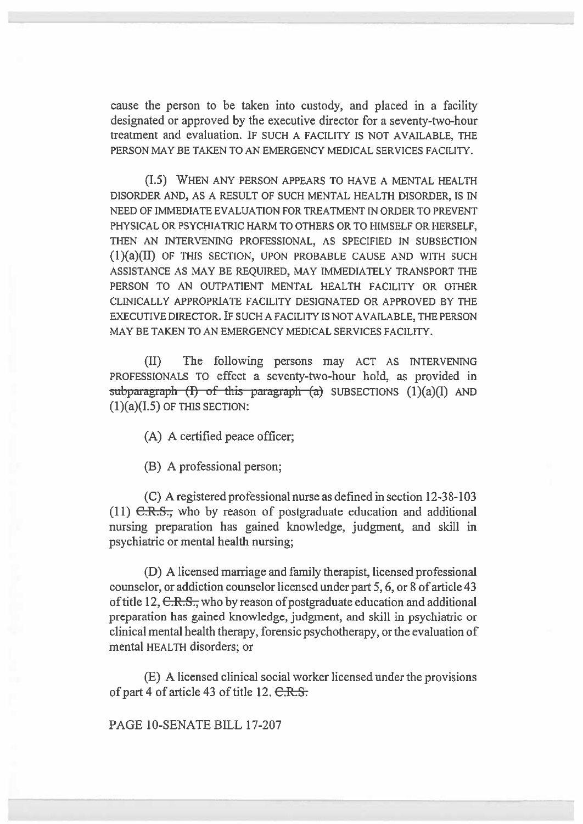cause the person to be taken into custody, and placed in a facility designated or approved by the executive director for a seventy-two-hour treatment and evaluation. IF SUCH A FACILITY IS NOT AVAILABLE, THE PERSON MAY BE TAKEN TO AN EMERGENCY MEDICAL SERVICES FACILITY.

(I.5) WHEN ANY PERSON APPEARS TO HAVE A MENTAL HEALTH DISORDER AND, AS A RESULT OF SUCH MENTAL HEALTH DISORDER, IS IN NEED OF IMMEDIATE EVALUATION FOR TREATMENT IN ORDER TO PREVENT PHYSICAL OR PSYCHIATRIC HARM TO OTHERS OR TO HIMSELF OR HERSELF, THEN AN INTERVENING PROFESSIONAL, AS SPECIFIED IN SUBSECTION (1)(a)(II) OF THIS SECTION, UPON PROBABLE CAUSE AND WITH SUCH ASSISTANCE AS MAY BE REQUIRED, MAY IMMEDIATELY TRANSPORT THE PERSON TO AN OUTPATIENT MENTAL HEALTH FACILITY OR OTHER CLINICALLY APPROPRIATE FACILITY DESIGNATED OR APPROVED BY THE EXECUTIVE DIRECTOR. IF SUCH A FACILITY IS NOT AVAILABLE, THE PERSON MAY BE TAKEN TO AN EMERGENCY MEDICAL SERVICES FACILITY.

(II) The following persons may ACT AS INTERVENING PROFESSIONALS TO effect a seventy-two-hour hold, as provided in  $subparam<sub>1</sub>(1) of this paragraph (a) SUBSECTIONS (1)(a)(I) AND$  $(1)(a)(I.5)$  OF THIS SECTION:

(A) A certified peace officer;

(B) A professional person;

(C) A registered professional nurse as defined in section 12-38-103 (11) C.R.S., who by reason of postgraduate education and additional nursing preparation has gained knowledge, judgment, and skill in psychiatric or mental health nursing;

(D) A licensed marriage and family therapist, licensed professional counselor, or addiction counselor licensed under part 5, 6, or 8 of article 43 of title 12, C.R.S., who by reason of postgraduate education and additional preparation has gained knowledge, judgment, and skill in psychiatric or clinical mental health therapy, forensic psychotherapy, or the evaluation of mental HEALTH disorders; or

(E) A licensed clinical social worker licensed under the provisions of part 4 of article 43 of title 12.  $C.R.S.$ 

PAGE 10-SENATE BILL 17-207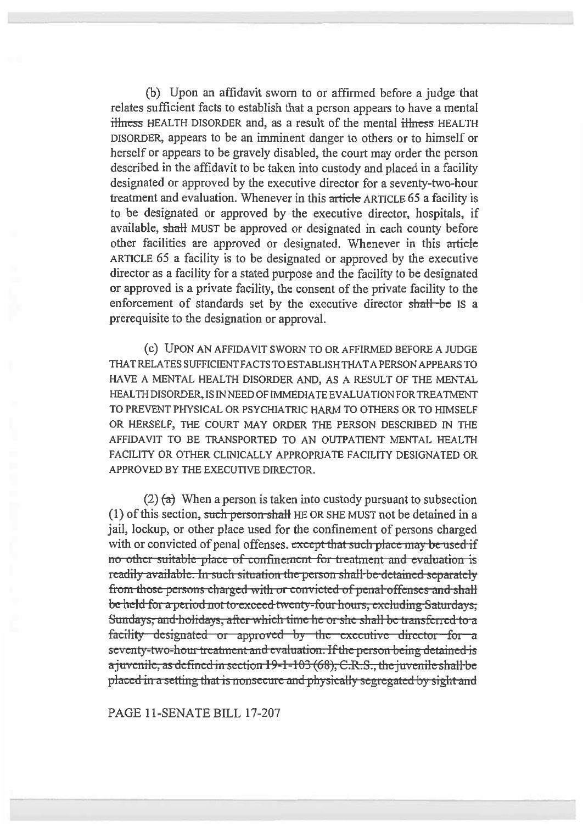(b) Upon an affidavit sworn to or affirmed before a judge that relates sufficient facts to establish that a person appears to have a mental **illness** HEALTH DISORDER and, as a result of the mental illness HEALTH DISORDER, appears to be an imminent danger to others or to himself or herself or appears to be gravely disabled, the court may order the person described in the affidavit to be taken into custody and placed in a facility designated or approved by the executive director for a seventy-two-hour treatment and evaluation. Whenever in this article ARTICLE 65 a facility is to be designated or approved by the executive director, hospitals, if available, shall MUST be approved or designated in each county before other facilities are approved or designated. Whenever in this article ARTICLE 65 a facility is to be designated or approved by the executive director as a facility for a stated purpose and the facility to be designated or approved is a private facility, the consent of the private facility to the enforcement of standards set by the executive director shall be IS a prerequisite to the designation or approval.

(c) UPON AN AFFIDAVIT SWORN TO OR AFFIRMED BEFORE A JUDGE THAT RELATES SUFFICIENT FACTS TO ESTABLISH THAT A PERSON APPEARS TO HAVE A MENTAL HEALTH DISORDER AND, AS A RESULT OF THE MENTAL HEALTH DISORDER, IS IN NEED OF IMMEDIATE EVALUATION FOR TREATMENT TO PREVENT PHYSICAL OR PSYCHIATRIC HARM TO OTHERS OR TO HIMSELF OR HERSELF, THE COURT MAY ORDER THE PERSON DESCRIBED IN THE AFFIDAVIT TO BE TRANSPORTED TO AN OUTPATIENT MENTAL HEALTH FACILITY OR OTHER CLINICALLY APPROPRIATE FACILITY DESIGNATED OR APPROVED BY THE EXECUTIVE DIRECTOR.

 $(2)$  (a) When a person is taken into custody pursuant to subsection (1) of this section, such person shall HE OR SHE MUST not be detained in a jail, lockup, or other place used for the confinement of persons charged with or convicted of penal offenses. except that such place may-be-used-if no other suitable place of confinement for treatment and evaluation is readily available. In such situation the person shall be detained separately be held for a period not to exceed twenty-four hours, excluding Saturdays; from those persons charged with or convicted of penal-offenses and shall Sundays, and holidays, after which time he or she shall be transferred-to-a facility—designated or approved by the executive director—for—a seventy-two-hour treatment and evaluation. If the person being detained is  $a$  juvenile, as defined in section  $19-1-103$  (68), C.R.S., the juvenile shall be placed in a setting that is nonsecure and physically segregated by sight and

PAGE 11-SENATE BILL 17-207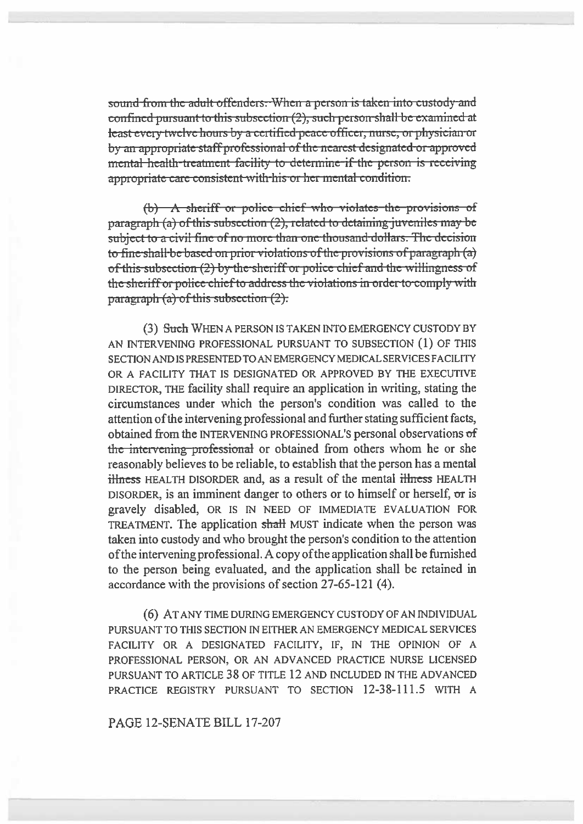sound from the adult offenders. When a person is taken into custody and confined pursuant to this subsection (2), such person shall be examined at least every twelve hours by a certified peace officer, nurse, or physician or by an appropriate staff professional of the nearest designated or approved mental health-treatment facility to determine-if-the person is receiving appropriate care consistent with his or her mental condition.

(b) A sheriff or police chief who violates the provisions of paragraph (a) of this subsection  $(2)$ , related to detaining juveniles may be subject to a civil fine of no more than one thousand dollars. The decision to fine shall be based on prior violations of the provisions of paragraph (a) of this subsection (2) by the sheriff or police chief and the willingness of the sheriff or police chief to address the violations in order to comply with  $paragnh(a) of this subsection (2).$ 

(3) Such WHEN A PERSON IS TAKEN INTO EMERGENCY CUSTODY BY AN INTERVENING PROFESSIONAL PURSUANT TO SUBSECTION (1) OF THIS SECTION AND IS PRESENTED TO AN EMERGENCY MEDICAL SERVICES FACILITY OR A FACILITY THAT IS DESIGNATED OR APPROVED BY THE EXECUTIVE DIRECTOR, THE facility shall require an application in writing, stating the circumstances under which the person's condition was called to the attention of the intervening professional and further stating sufficient facts, obtained from the INTERVENING PROFESSIONAL'S personal observations of the intervening professional or obtained from others whom he or she reasonably believes to be reliable, to establish that the person has a mental illness HEALTH DISORDER and, as a result of the mental illness HEALTH DISORDER, is an imminent danger to others or to himself or herself, or is gravely disabled, OR IS IN NEED OF IMMEDIATE EVALUATION FOR TREATMENT. The application shall MUST indicate when the person was taken into custody and who brought the person's condition to the attention of the intervening professional. A copy of the application shall be furnished to the person being evaluated, and the application shall be retained in accordance with the provisions of section 27-65-121 (4).

(6) AT ANY TIME DURING EMERGENCY CUSTODY OF AN INDIVIDUAL PURSUANT TO THIS SECTION IN EITHER AN EMERGENCY MEDICAL SERVICES FACILITY OR A DESIGNATED FACILITY, IF, IN THE OPINION OF A PROFESSIONAL PERSON, OR AN ADVANCED PRACTICE NURSE LICENSED PURSUANT TO ARTICLE 38 OF TITLE 12 AND INCLUDED IN THE ADVANCED PRACTICE REGISTRY PURSUANT TO SECTION 12-38-111.5 WITH A

PAGE 12-SENATE BILL 17-207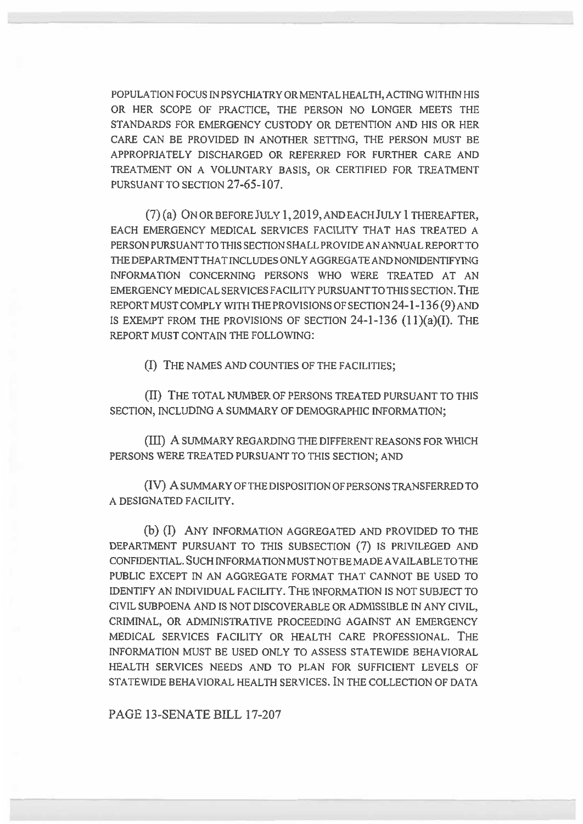POPULATION FOCUS IN PSYCHIATRY OR MENTAL HEALTH, ACTING WITHIN HIS OR HER SCOPE OF PRACTICE, THE PERSON NO LONGER MEETS THE STANDARDS FOR EMERGENCY CUSTODY OR DETENTION AND HIS OR HER CARE CAN BE PROVIDED IN ANOTHER SETTING, THE PERSON MUST BE APPROPRIATELY DISCHARGED OR REFERRED FOR FURTHER CARE AND TREATMENT ON A VOLUNTARY BASIS, OR CERTIFIED FOR TREATMENT PURSUANT TO SECTION 27-65-107.

(7) (a) ON OR BEFORE JULY 1,2019, AND EACH JULY 1 THEREAFTER, EACH EMERGENCY MEDICAL SERVICES FACILITY THAT HAS TREATED A PERSON PURSUANT TO THIS SECTION SHALL PROVIDE AN ANNUAL REPORT TO THE DEPARTMENT THAT INCLUDES ONLY AGGREGATE AND NONIDENTIFYING INFORMATION CONCERNING PERSONS WHO WERE TREATED AT AN EMERGENCY MEDICAL SERVICES FACILITY PURSUANT TO THIS SECTION. THE REPORT MUST COMPLY WITH THE PROVISIONS OF SECTION 24-1-136 (9) AND IS EXEMPT FROM THE PROVISIONS OF SECTION  $24$ -1-136  $(11)(a)(I)$ . The REPORT MUST CONTAIN THE FOLLOWING:

(I) THE NAMES AND COUNTIES OF THE FACILITIES;

(II) THE TOTAL NUMBER OF PERSONS TREATED PURSUANT TO THIS SECTION, INCLUDING A SUMMARY OF DEMOGRAPHIC INFORMATION;

(III) A SUMMARY REGARDING THE DIFFERENT REASONS FOR WHICH PERSONS WERE TREATED PURSUANT TO THIS SECTION; AND

(IV) A SUMMARY OF THE DISPOSITION OF PERSONS TRANSFERRED TO A DESIGNATED FACILITY.

(b) (I) ANY INFORMATION AGGREGATED AND PROVIDED TO THE DEPARTMENT PURSUANT TO THIS SUBSECTION (7) IS PRIVILEGED AND CONFIDENTIAL. SUCH INFORMATION MUST NOT BE MADE AVAILABLE TO THE PUBLIC EXCEPT IN AN AGGREGATE FORMAT THAT CANNOT BE USED TO IDENTIFY AN INDIVIDUAL FACILITY. THE INFORMATION IS NOT SUBJECT TO CIVIL SUBPOENA AND IS NOT DISCOVERABLE OR ADMISSIBLE IN ANY CIVIL, CRIMINAL, OR ADMINISTRATIVE PROCEEDING AGAINST AN EMERGENCY MEDICAL SERVICES FACILITY OR HEALTH CARE PROFESSIONAL. THE INFORMATION MUST BE USED ONLY TO ASSESS STATEWIDE BEHAVIORAL HEALTH SERVICES NEEDS AND TO PLAN FOR SUFFICIENT LEVELS OF STATEWIDE BEHAVIORAL HEALTH SERVICES. IN THE COLLECTION OF DATA

PAGE 13-SENATE BILL 17-207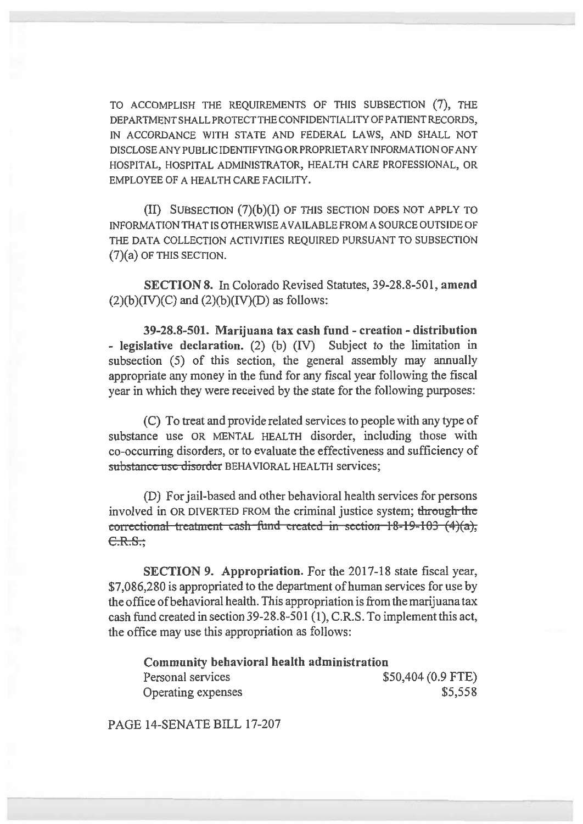TO ACCOMPLISH THE REQUIREMENTS OF THIS SUBSECTION (7), THE DEPARTMENT SHALL PROTECT THE CONFIDENTIALITY OF PATIENT RECORDS, IN ACCORDANCE WITH STATE AND FEDERAL LAWS, AND SHALL NOT DISCLOSE ANY PUBLIC IDENTIFYING OR PROPRIETARY INFORMATION OF ANY HOSPITAL, HOSPITAL ADMINISTRATOR, HEALTH CARE PROFESSIONAL, OR EMPLOYEE OF A HEALTH CARE FACILITY.

(II) SUBSECTION (7)(b)(I) OF THIS SECTION DOES NOT APPLY TO INFORMATION THAT IS OTHERWISE AVAILABLE FROM A SOURCE OUTSIDE OF THE DATA COLLECTION ACTIVITIES REQUIRED PURSUANT TO SUBSECTION (7)(a) OF THIS SECTION.

SECTION 8. In Colorado Revised Statutes, 39-28.8-501, amend  $(2)(b)(IV)(C)$  and  $(2)(b)(IV)(D)$  as follows:

39-28.8-501. Marijuana tax cash fund - creation - distribution - legislative declaration. (2) (b) (IV) Subject to the limitation in subsection (5) of this section, the general assembly may annually appropriate any money in the fund for any fiscal year following the fiscal year in which they were received by the state for the following purposes:

(C) To treat and provide related services to people with any type of substance use OR MENTAL HEALTH disorder, including those with co-occurring disorders, or to evaluate the effectiveness and sufficiency of substance use disorder BEHAVIORAL HEALTH services;

(D) For jail-based and other behavioral health services for persons involved in OR DIVERTED FROM the criminal justice system; through the correctional treatment cash-fund created in section  $18-19-103$  (4)(a),  $C.R.S.$ ;

SECTION 9. Appropriation. For the 2017-18 state fiscal year, \$7,086,280 is appropriated to the department of human services for use by the office of behavioral health. This appropriation is from the marijuana tax cash fund created in section 39-28.8-501(1), C.R.S. To implement this act, the office may use this appropriation as follows:

**Community behavioral health administration** 

| Personal services  | $$50,404$ (0.9 FTE) |
|--------------------|---------------------|
| Operating expenses | \$5,558             |

PAGE 14-SENATE **BILL 17-207**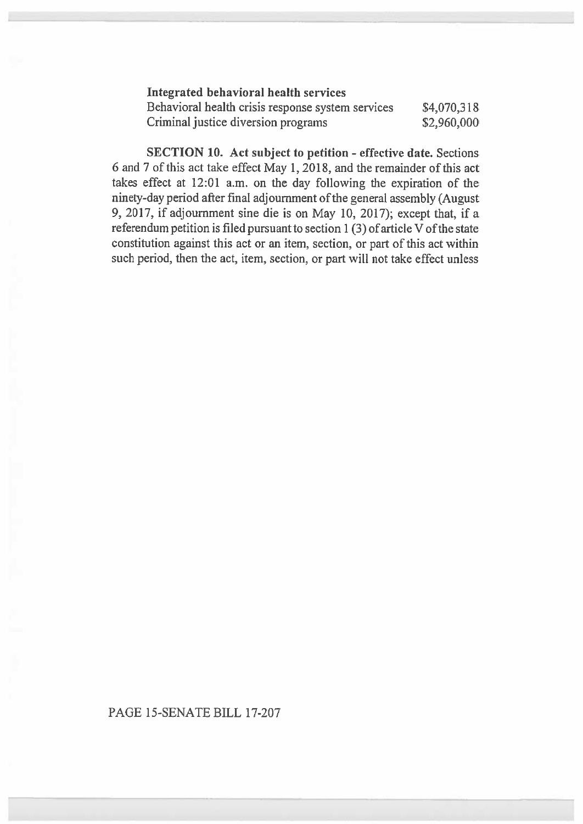| Integrated behavioral health services             |             |
|---------------------------------------------------|-------------|
| Behavioral health crisis response system services | \$4,070,318 |
| Criminal justice diversion programs               | \$2,960,000 |

**SECTION 10. Act subject to petition - effective date.** Sections 6 and 7 of this act take effect May 1, 2018, and the remainder of this act takes effect at 12:01 a.m. on the day following the expiration of the ninety-day period after final adjournment of the general assembly (August 9, 2017, if adjournment sine die is on May 10, 2017); except **that,** if a referendum petition is filed pursuant to section **1** (3) of article V of the state constitution against this act or an item, section, or part of this act within such period, then the act, item, section, or part will not take effect unless